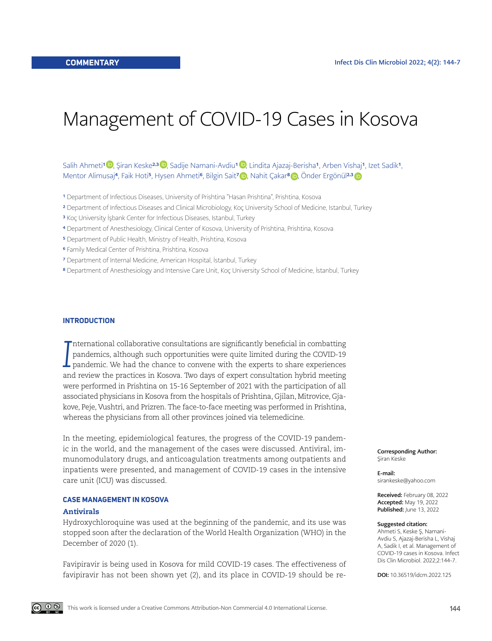# Management of COVID-19 Cases in Kosova

# Salih Ahmeti1 $\bm{\mathbb{D}},$  Şiran Keske<sup>2,3</sup>  $\bm{\mathbb{D}},$  Sadije Namani-Avdiu1  $\bm{\mathbb{D}},$  Lindita Ajazaj-Berisha1, Arben Vishaj1, Izet Sadik1, Mentor Alimusaj<sup>4</sup>, Faik Hoti<sup>s</sup>, Hysen Ahmeti<sup>6</sup>, Bilgin Sait<sup>7</sup> (D), Nahit Çakar<sup>8</sup> (D), Onder Ergönül<sup>2,[3](https://orcid.org/0000-0003-1935-9235)</sup>

- <sup>1</sup> Department of Infectious Diseases, University of Prishtina "Hasan Prishtina", Prishtina, Kosova
- 2 Department of Infectious Diseases and Clinical Microbiology, Koç University School of Medicine, Istanbul, Turkey
- 3 Koç University İşbank Center for Infectious Diseases, Istanbul, Turkey
- 4 Department of Anesthesiology, Clinical Center of Kosova, University of Prishtina, Prishtina, Kosova
- 5 Department of Public Health, Ministry of Health, Prishtina, Kosova
- 6 Family Medical Center of Prishtina, Prishtina, Kosova
- 7 Department of Internal Medicine, American Hospital, İstanbul, Turkey
- 8 Department of Anesthesiology and Intensive Care Unit, Koç University School of Medicine, İstanbul, Turkey

#### **INTRODUCTION**

*I* nternational collaborative consultations are significantly beneficial in combatting pandemics, although such opportunities were quite limited during the COVID-19 pandemic. We had the chance to convene with the experts to share experiences and review the practices in Kosova. Two days of expert consultation hybrid meeting were performed in Prishtina on 15-16 September of 2021 with the participation of all associated physicians in Kosova from the hospitals of Prishtina, Gjilan, Mitrovice, Gjakove, Peje, Vushtri, and Prizren. The face-to-face meeting was performed in Prishtina, whereas the physicians from all other provinces joined via telemedicine.

In the meeting, epidemiological features, the progress of the COVID-19 pandemic in the world, and the management of the cases were discussed. Antiviral, immunomodulatory drugs, and anticoagulation treatments among outpatients and inpatients were presented, and management of COVID-19 cases in the intensive care unit (ICU) was discussed.

#### **CASE MANAGEMENT IN KOSOVA**

#### Antivirals

Hydroxychloroquine was used at the beginning of the pandemic, and its use was stopped soon after the declaration of the World Health Organization (WHO) in the December of 2020 (1).

Favipiravir is being used in Kosova for mild COVID-19 cases. The effectiveness of favipiravir has not been shown yet (2), and its place in COVID-19 should be reCorresponding Author: Şiran Keske

E-mail: sirankeske@yahoo.com

Received: February 08, 2022 Accepted: May 19, 2022 Published: June 13, 2022

#### Suggested citation:

Ahmeti S, Keske Ş, Namani-Avdiu S, Ajazaj-Berisha L, Vishaj A, Sadik I, et al. Management of COVID-19 cases in Kosova. Infect Dis Clin Microbiol. 2022;2:144-7.

DOI: 10.36519/idcm.2022.125

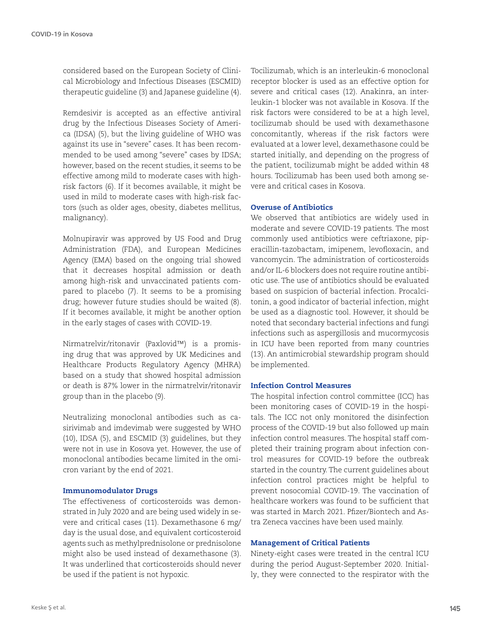considered based on the European Society of Clinical Microbiology and Infectious Diseases (ESCMID) therapeutic guideline (3) and Japanese guideline (4).

Remdesivir is accepted as an effective antiviral drug by the Infectious Diseases Society of America (IDSA) (5), but the living guideline of WHO was against its use in "severe" cases. It has been recommended to be used among "severe" cases by IDSA; however, based on the recent studies, it seems to be effective among mild to moderate cases with highrisk factors (6). If it becomes available, it might be used in mild to moderate cases with high-risk factors (such as older ages, obesity, diabetes mellitus, malignancy).

Molnupiravir was approved by US Food and Drug Administration (FDA), and European Medicines Agency (EMA) based on the ongoing trial showed that it decreases hospital admission or death among high-risk and unvaccinated patients compared to placebo (7). It seems to be a promising drug; however future studies should be waited (8). If it becomes available, it might be another option in the early stages of cases with COVID-19.

Nirmatrelvir/ritonavir (Paxlovid™) is a promising drug that was approved by UK Medicines and Healthcare Products Regulatory Agency (MHRA) based on a study that showed hospital admission or death is 87% lower in the nirmatrelvir/ritonavir group than in the placebo (9).

Neutralizing monoclonal antibodies such as casirivimab and imdevimab were suggested by WHO (10), IDSA (5), and ESCMID (3) guidelines, but they were not in use in Kosova yet. However, the use of monoclonal antibodies became limited in the omicron variant by the end of 2021.

# Immunomodulator Drugs

The effectiveness of corticosteroids was demonstrated in July 2020 and are being used widely in severe and critical cases (11). Dexamethasone 6 mg/ day is the usual dose, and equivalent corticosteroid agents such as methylprednisolone or prednisolone might also be used instead of dexamethasone (3). It was underlined that corticosteroids should never be used if the patient is not hypoxic.

Tocilizumab, which is an interleukin-6 monoclonal receptor blocker is used as an effective option for severe and critical cases (12). Anakinra, an interleukin-1 blocker was not available in Kosova. If the risk factors were considered to be at a high level, tocilizumab should be used with dexamethasone concomitantly, whereas if the risk factors were evaluated at a lower level, dexamethasone could be started initially, and depending on the progress of the patient, tocilizumab might be added within 48 hours. Tocilizumab has been used both among severe and critical cases in Kosova.

# Overuse of Antibiotics

We observed that antibiotics are widely used in moderate and severe COVID-19 patients. The most commonly used antibiotics were ceftriaxone, piperacillin-tazobactam, imipenem, levofloxacin, and vancomycin. The administration of corticosteroids and/or IL-6 blockers does not require routine antibiotic use. The use of antibiotics should be evaluated based on suspicion of bacterial infection. Procalcitonin, a good indicator of bacterial infection, might be used as a diagnostic tool. However, it should be noted that secondary bacterial infections and fungi infections such as aspergillosis and mucormycosis in ICU have been reported from many countries (13). An antimicrobial stewardship program should be implemented.

# Infection Control Measures

The hospital infection control committee (ICC) has been monitoring cases of COVID-19 in the hospitals. The ICC not only monitored the disinfection process of the COVID-19 but also followed up main infection control measures. The hospital staff completed their training program about infection control measures for COVID-19 before the outbreak started in the country. The current guidelines about infection control practices might be helpful to prevent nosocomial COVID-19. The vaccination of healthcare workers was found to be sufficient that was started in March 2021. Pfizer/Biontech and Astra Zeneca vaccines have been used mainly.

## Management of Critical Patients

Ninety-eight cases were treated in the central ICU during the period August-September 2020. Initially, they were connected to the respirator with the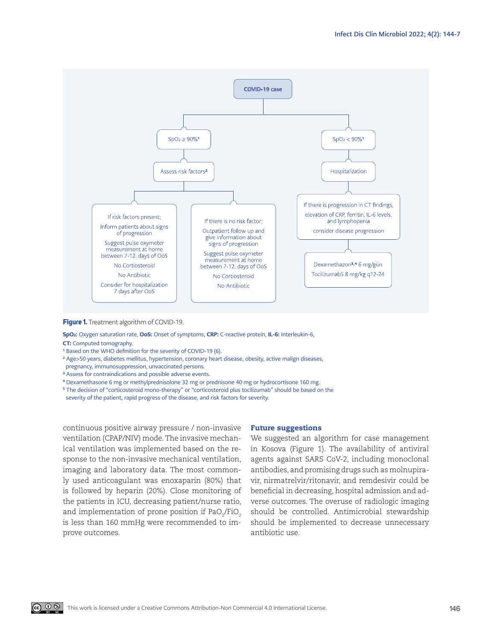

#### **Figure 1.** Treatment algorithm of COVID-19.

SpO<sub>2</sub>: Oxygen saturation rate, OoS: Onset of symptoms, CRP: C-reactive protein, IL-6: Interleukin-6, CT: Computed tomography.

- <sup>1</sup> Based on the WHO definition for the severity of COVID-19 (6).
- <sup>2</sup> Age>50 years, diabetes mellitus, hypertension, coronary heart disease, obesity, active malign diseases,
- pregnancy, immunosuppression, unvaccinated persons.
- <sup>3</sup> Assess for contraindications and possible adverse events.
- <sup>4</sup> Dexamethasone 6 mg or methylprednisolone 32 mg or prednisone 40 mg or hydrocortisone 160 mg.
- <sup>5</sup> The decision of "corticosteroid mono-therapy" or "corticosteroid plus tocilizumab" should be based on the severity of the patient, rapid progress of the disease, and risk factors for severity.

continuous positive airway pressure / non-invasive ventilation (CPAP/NIV) mode. The invasive mechanical ventilation was implemented based on the response to the non-invasive mechanical ventilation, imaging and laboratory data. The most commonly used anticoagulant was enoxaparin (80%) that is followed by heparin (20%). Close monitoring of the patients in ICU, decreasing patient/nurse ratio, and implementation of prone position if PaO $_2$ /FiO $_2$ is less than 160 mmHg were recommended to improve outcomes.

# Future suggestions

We suggested an algorithm for case management in Kosova (Figure 1). The availability of antiviral agents against SARS CoV-2, including monoclonal antibodies, and promising drugs such as molnupiravir, nirmatrelvir/ritonavir, and remdesivir could be beneficial in decreasing, hospital admission and adverse outcomes. The overuse of radiologic imaging should be controlled. Antimicrobial stewardship should be implemented to decrease unnecessary antibiotic use.